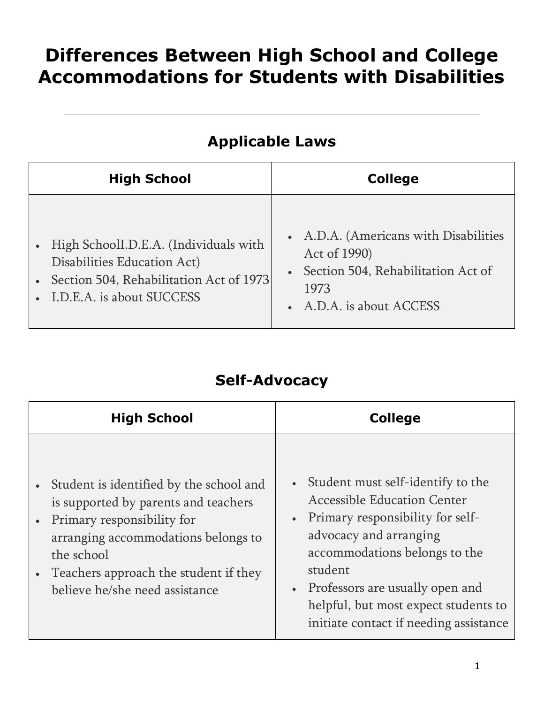# **Differences Between High School and College Accommodations for Students with Disabilities**

## **Applicable Laws**

| <b>High School</b>                                                                                                                                 | <b>College</b>                                                                                                                  |
|----------------------------------------------------------------------------------------------------------------------------------------------------|---------------------------------------------------------------------------------------------------------------------------------|
| • High SchoolI.D.E.A. (Individuals with<br>Disabilities Education Act)<br>• Section 504, Rehabilitation Act of 1973<br>• I.D.E.A. is about SUCCESS | • A.D.A. (Americans with Disabilities<br>Act of 1990)<br>Section 504, Rehabilitation Act of<br>1973<br>• A.D.A. is about ACCESS |

#### **Self-Advocacy**

| <b>High School</b>                                                                                                                                                                                                                            | <b>College</b>                                                                                                                                                                                                                                                                                                            |
|-----------------------------------------------------------------------------------------------------------------------------------------------------------------------------------------------------------------------------------------------|---------------------------------------------------------------------------------------------------------------------------------------------------------------------------------------------------------------------------------------------------------------------------------------------------------------------------|
| Student is identified by the school and<br>is supported by parents and teachers<br>Primary responsibility for<br>arranging accommodations belongs to<br>the school<br>Teachers approach the student if they<br>believe he/she need assistance | Student must self-identify to the<br>$\bullet$ .<br><b>Accessible Education Center</b><br>• Primary responsibility for self-<br>advocacy and arranging<br>accommodations belongs to the<br>student<br>• Professors are usually open and<br>helpful, but most expect students to<br>initiate contact if needing assistance |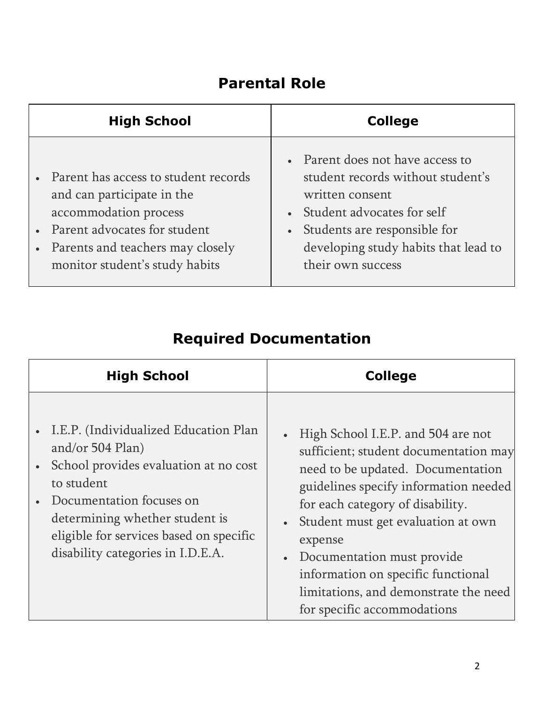#### **Parental Role**

| <b>High School</b>                                                                                                                                                                                      | <b>College</b>                                                                                                                                                                                                      |
|---------------------------------------------------------------------------------------------------------------------------------------------------------------------------------------------------------|---------------------------------------------------------------------------------------------------------------------------------------------------------------------------------------------------------------------|
| • Parent has access to student records<br>and can participate in the<br>accommodation process<br>• Parent advocates for student<br>• Parents and teachers may closely<br>monitor student's study habits | • Parent does not have access to<br>student records without student's<br>written consent<br>Student advocates for self<br>Students are responsible for<br>developing study habits that lead to<br>their own success |

| <b>High School</b>                                                                                                                                                                                                                                             | <b>College</b>                                                                                                                                                                                                                                                                                                                                                                                                         |
|----------------------------------------------------------------------------------------------------------------------------------------------------------------------------------------------------------------------------------------------------------------|------------------------------------------------------------------------------------------------------------------------------------------------------------------------------------------------------------------------------------------------------------------------------------------------------------------------------------------------------------------------------------------------------------------------|
| I.E.P. (Individualized Education Plan<br>and/or 504 Plan)<br>School provides evaluation at no cost<br>to student<br>Documentation focuses on<br>determining whether student is<br>eligible for services based on specific<br>disability categories in I.D.E.A. | • High School I.E.P. and 504 are not<br>sufficient; student documentation may<br>need to be updated. Documentation<br>guidelines specify information needed<br>for each category of disability.<br>Student must get evaluation at own<br>$\bullet$<br>expense<br>Documentation must provide<br>$\bullet$<br>information on specific functional<br>limitations, and demonstrate the need<br>for specific accommodations |

# **Required Documentation**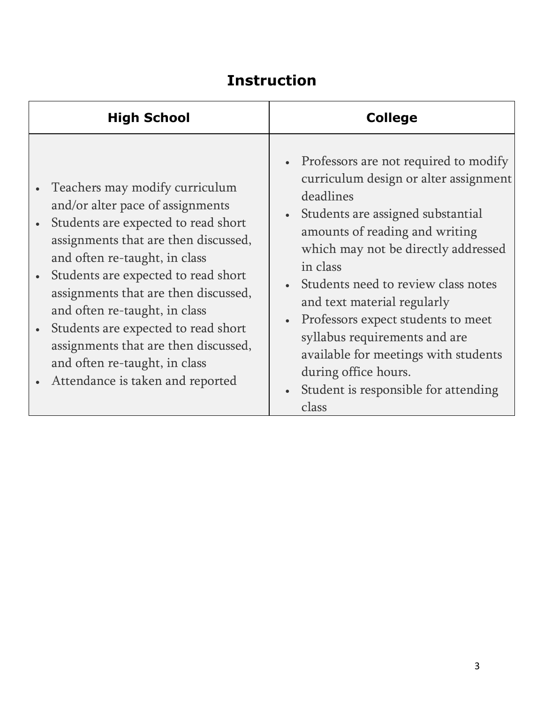### **Instruction**

| <b>High School</b>                                                                                                                                                                                                                                                                                                                                                                                                                                     | <b>College</b>                                                                                                                                                                                                                                                                                                                                                                                                                                                                        |
|--------------------------------------------------------------------------------------------------------------------------------------------------------------------------------------------------------------------------------------------------------------------------------------------------------------------------------------------------------------------------------------------------------------------------------------------------------|---------------------------------------------------------------------------------------------------------------------------------------------------------------------------------------------------------------------------------------------------------------------------------------------------------------------------------------------------------------------------------------------------------------------------------------------------------------------------------------|
| Teachers may modify curriculum<br>and/or alter pace of assignments<br>Students are expected to read short<br>assignments that are then discussed,<br>and often re-taught, in class<br>Students are expected to read short<br>assignments that are then discussed,<br>and often re-taught, in class<br>Students are expected to read short<br>assignments that are then discussed,<br>and often re-taught, in class<br>Attendance is taken and reported | • Professors are not required to modify<br>curriculum design or alter assignment<br>deadlines<br>Students are assigned substantial<br>amounts of reading and writing<br>which may not be directly addressed<br>in class<br>Students need to review class notes<br>and text material regularly<br>Professors expect students to meet<br>syllabus requirements and are<br>available for meetings with students<br>during office hours.<br>Student is responsible for attending<br>class |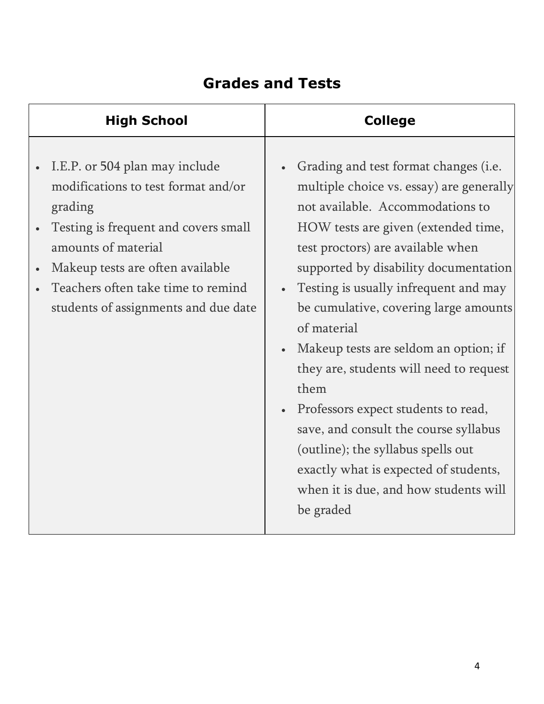## **Grades and Tests**

| Grading and test format changes (i.e.<br>I.E.P. or 504 plan may include<br>modifications to test format and/or<br>multiple choice vs. essay) are generally<br>not available. Accommodations to<br>grading<br>Testing is frequent and covers small<br>HOW tests are given (extended time,<br>amounts of material<br>test proctors) are available when<br>Makeup tests are often available<br>supported by disability documentation<br>Teachers often take time to remind<br>Testing is usually infrequent and may<br>be cumulative, covering large amounts<br>students of assignments and due date<br>of material<br>Makeup tests are seldom an option; if<br>they are, students will need to request<br>them<br>Professors expect students to read,<br>save, and consult the course syllabus<br>(outline); the syllabus spells out<br>exactly what is expected of students,<br>when it is due, and how students will<br>be graded | <b>High School</b> | <b>College</b> |
|-----------------------------------------------------------------------------------------------------------------------------------------------------------------------------------------------------------------------------------------------------------------------------------------------------------------------------------------------------------------------------------------------------------------------------------------------------------------------------------------------------------------------------------------------------------------------------------------------------------------------------------------------------------------------------------------------------------------------------------------------------------------------------------------------------------------------------------------------------------------------------------------------------------------------------------|--------------------|----------------|
|                                                                                                                                                                                                                                                                                                                                                                                                                                                                                                                                                                                                                                                                                                                                                                                                                                                                                                                                   |                    |                |